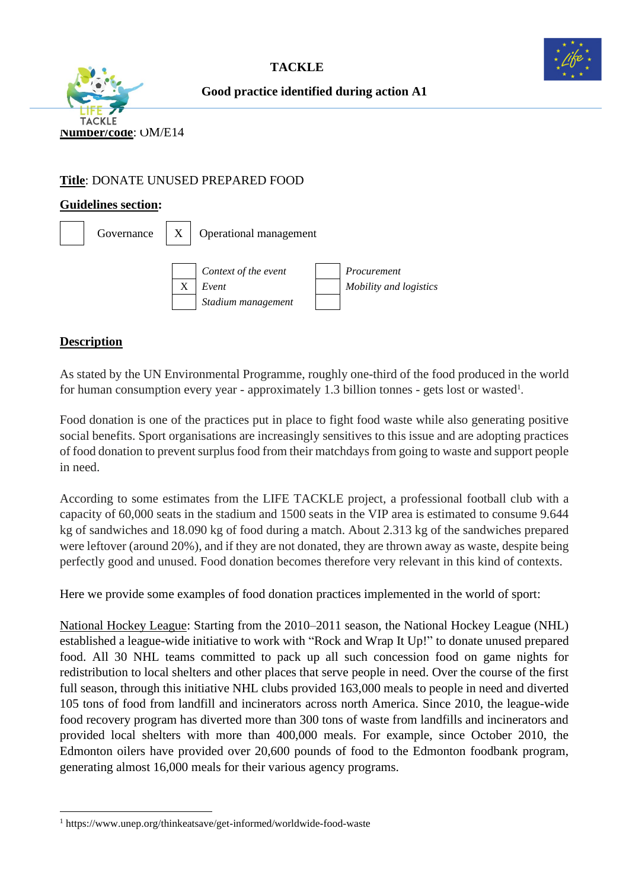





**Good practice identified during action A1**

## **Title**: DONATE UNUSED PREPARED FOOD

### **Guidelines section:**

| Governance |   | Operational management                              |  |                                       |
|------------|---|-----------------------------------------------------|--|---------------------------------------|
|            | Χ | Context of the event<br>Event<br>Stadium management |  | Procurement<br>Mobility and logistics |

# **Description**

As stated by the UN Environmental Programme, roughly one-third of the food produced in the world for human consumption every year - approximately 1.3 billion tonnes - gets lost or wasted<sup>1</sup>.

Food donation is one of the practices put in place to fight food waste while also generating positive social benefits. Sport organisations are increasingly sensitives to this issue and are adopting practices of food donation to prevent surplus food from their matchdays from going to waste and support people in need.

According to some estimates from the LIFE TACKLE project, a professional football club with a capacity of 60,000 seats in the stadium and 1500 seats in the VIP area is estimated to consume 9.644 kg of sandwiches and 18.090 kg of food during a match. About 2.313 kg of the sandwiches prepared were leftover (around 20%), and if they are not donated, they are thrown away as waste, despite being perfectly good and unused. Food donation becomes therefore very relevant in this kind of contexts.

Here we provide some examples of food donation practices implemented in the world of sport:

National Hockey League: Starting from the 2010–2011 season, the National Hockey League (NHL) established a league-wide initiative to work with "Rock and Wrap It Up!" to donate unused prepared food. All 30 NHL teams committed to pack up all such concession food on game nights for redistribution to local shelters and other places that serve people in need. Over the course of the first full season, through this initiative NHL clubs provided 163,000 meals to people in need and diverted 105 tons of food from landfill and incinerators across north America. Since 2010, the league-wide food recovery program has diverted more than 300 tons of waste from landfills and incinerators and provided local shelters with more than 400,000 meals. For example, since October 2010, the Edmonton oilers have provided over 20,600 pounds of food to the Edmonton foodbank program, generating almost 16,000 meals for their various agency programs.

<sup>1</sup> https://www.unep.org/thinkeatsave/get-informed/worldwide-food-waste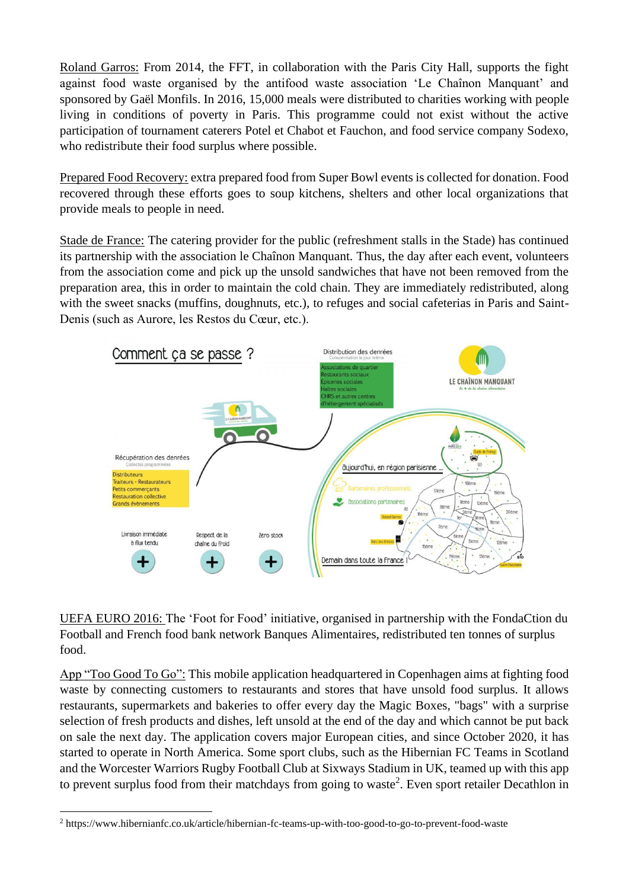Roland Garros: From 2014, the FFT, in collaboration with the Paris City Hall, supports the fight against food waste organised by the antifood waste association 'Le Chaînon Manquant' and sponsored by Gaël Monfils. In 2016, 15,000 meals were distributed to charities working with people living in conditions of poverty in Paris. This programme could not exist without the active participation of tournament caterers Potel et Chabot et Fauchon, and food service company Sodexo, who redistribute their food surplus where possible.

Prepared Food Recovery: extra prepared food from [Super Bowl](http://www.nfl.com/superbowl/47) events is collected for donation. Food recovered through these efforts goes to soup kitchens, shelters and other local organizations that provide meals to people in need.

Stade de France: The catering provider for the public (refreshment stalls in the Stade) has continued its partnership with the association le Chaînon Manquant. Thus, the day after each event, volunteers from the association come and pick up the unsold sandwiches that have not been removed from the preparation area, this in order to maintain the cold chain. They are immediately redistributed, along with the sweet snacks (muffins, doughnuts, etc.), to refuges and social cafeterias in Paris and Saint-Denis (such as Aurore, les Restos du Cœur, etc.).



UEFA EURO 2016: The 'Foot for Food' initiative, organised in partnership with the FondaCtion du Football and French food bank network Banques Alimentaires, redistributed ten tonnes of surplus food.

App "Too Good To Go": This mobile application headquartered in Copenhagen aims at fighting food waste by connecting customers to restaurants and stores that have unsold food surplus. It allows restaurants, supermarkets and bakeries to offer every day the Magic Boxes, "bags" with a surprise selection of fresh products and dishes, left unsold at the end of the day and which cannot be put back on sale the next day. The application covers major European cities, and since October 2020, it has started to operate in North America. Some sport clubs, such as the Hibernian FC Teams in Scotland and the Worcester Warriors Rugby Football Club at Sixways Stadium in UK, teamed up with this app to prevent surplus food from their matchdays from going to waste<sup>2</sup>. Even sport retailer Decathlon in

<sup>2</sup> <https://www.hibernianfc.co.uk/article/hibernian-fc-teams-up-with-too-good-to-go-to-prevent-food-waste>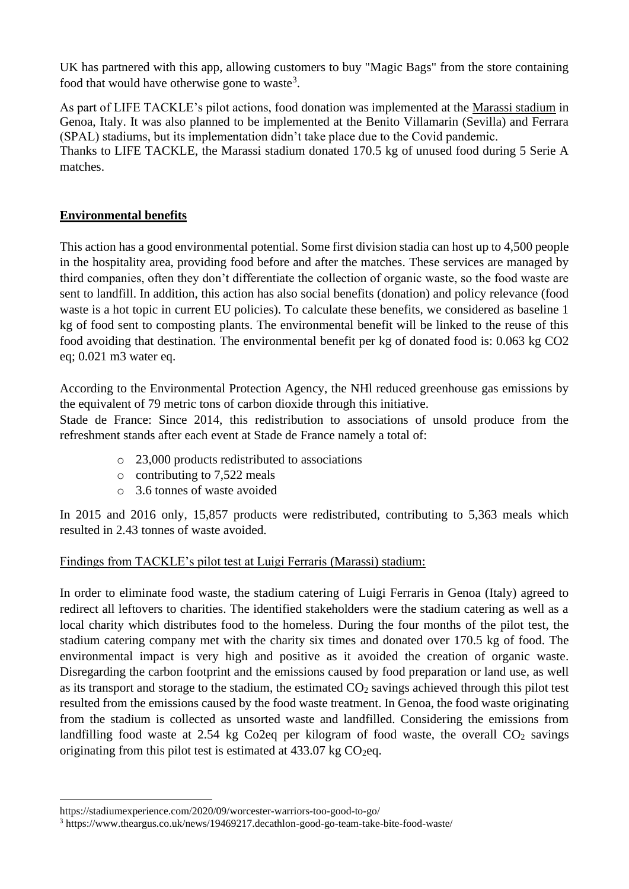UK has partnered with this app, allowing customers to buy "Magic Bags" from the store containing food that would have otherwise gone to waste<sup>3</sup>.

As part of LIFE TACKLE's pilot actions, food donation was implemented at the Marassi stadium in Genoa, Italy. It was also planned to be implemented at the Benito Villamarin (Sevilla) and Ferrara (SPAL) stadiums, but its implementation didn't take place due to the Covid pandemic. Thanks to LIFE TACKLE, the Marassi stadium donated 170.5 kg of unused food during 5 Serie A matches.

## **Environmental benefits**

This action has a good environmental potential. Some first division stadia can host up to 4,500 people in the hospitality area, providing food before and after the matches. These services are managed by third companies, often they don't differentiate the collection of organic waste, so the food waste are sent to landfill. In addition, this action has also social benefits (donation) and policy relevance (food waste is a hot topic in current EU policies). To calculate these benefits, we considered as baseline 1 kg of food sent to composting plants. The environmental benefit will be linked to the reuse of this food avoiding that destination. The environmental benefit per kg of donated food is: 0.063 kg CO2 eq; 0.021 m3 water eq.

According to the Environmental Protection Agency, the NHl reduced greenhouse gas emissions by the equivalent of 79 metric tons of carbon dioxide through this initiative.

Stade de France: Since 2014, this redistribution to associations of unsold produce from the refreshment stands after each event at Stade de France namely a total of:

- o 23,000 products redistributed to associations
- o contributing to 7,522 meals
- o 3.6 tonnes of waste avoided

In 2015 and 2016 only, 15,857 products were redistributed, contributing to 5,363 meals which resulted in 2.43 tonnes of waste avoided.

# Findings from TACKLE's pilot test at Luigi Ferraris (Marassi) stadium:

In order to eliminate food waste, the stadium catering of Luigi Ferraris in Genoa (Italy) agreed to redirect all leftovers to charities. The identified stakeholders were the stadium catering as well as a local charity which distributes food to the homeless. During the four months of the pilot test, the stadium catering company met with the charity six times and donated over 170.5 kg of food. The environmental impact is very high and positive as it avoided the creation of organic waste. Disregarding the carbon footprint and the emissions caused by food preparation or land use, as well as its transport and storage to the stadium, the estimated  $CO<sub>2</sub>$  savings achieved through this pilot test resulted from the emissions caused by the food waste treatment. In Genoa, the food waste originating from the stadium is collected as unsorted waste and landfilled. Considering the emissions from landfilling food waste at 2.54 kg Co2eq per kilogram of food waste, the overall  $CO<sub>2</sub>$  savings originating from this pilot test is estimated at  $433.07$  kg CO<sub>2</sub>eq.

https://stadiumexperience.com/2020/09/worcester-warriors-too-good-to-go/

<sup>3</sup> https://www.theargus.co.uk/news/19469217.decathlon-good-go-team-take-bite-food-waste/